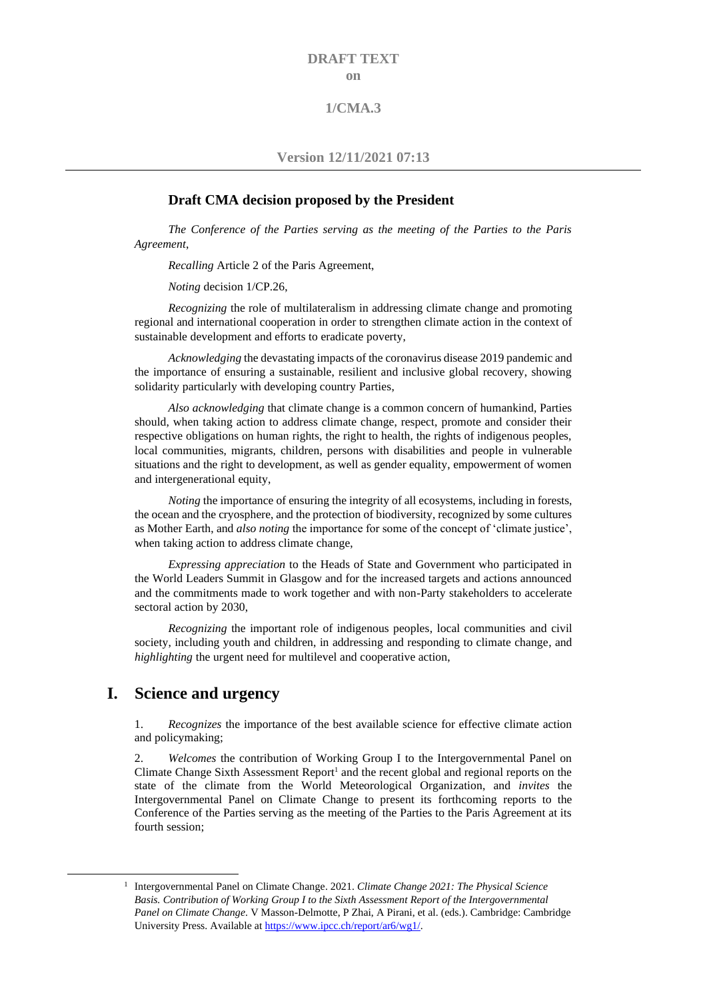### **DRAFT TEXT on**

#### **1/CMA.3**

#### **Version 12/11/2021 07:13**

#### **Draft CMA decision proposed by the President**

*The Conference of the Parties serving as the meeting of the Parties to the Paris Agreement*,

*Recalling* Article 2 of the Paris Agreement,

*Noting* decision 1/CP.26,

*Recognizing* the role of multilateralism in addressing climate change and promoting regional and international cooperation in order to strengthen climate action in the context of sustainable development and efforts to eradicate poverty,

*Acknowledging* the devastating impacts of the coronavirus disease 2019 pandemic and the importance of ensuring a sustainable, resilient and inclusive global recovery, showing solidarity particularly with developing country Parties,

*Also acknowledging* that climate change is a common concern of humankind, Parties should, when taking action to address climate change, respect, promote and consider their respective obligations on human rights, the right to health, the rights of indigenous peoples, local communities, migrants, children, persons with disabilities and people in vulnerable situations and the right to development, as well as gender equality, empowerment of women and intergenerational equity,

*Noting* the importance of ensuring the integrity of all ecosystems, including in forests, the ocean and the cryosphere, and the protection of biodiversity, recognized by some cultures as Mother Earth, and *also noting* the importance for some of the concept of 'climate justice', when taking action to address climate change,

*Expressing appreciation* to the Heads of State and Government who participated in the World Leaders Summit in Glasgow and for the increased targets and actions announced and the commitments made to work together and with non-Party stakeholders to accelerate sectoral action by 2030,

*Recognizing* the important role of indigenous peoples, local communities and civil society, including youth and children, in addressing and responding to climate change, and *highlighting* the urgent need for multilevel and cooperative action,

## **I. Science and urgency**

1. *Recognizes* the importance of the best available science for effective climate action and policymaking;

2. *Welcomes* the contribution of Working Group I to the Intergovernmental Panel on Climate Change Sixth Assessment Report<sup>1</sup> and the recent global and regional reports on the state of the climate from the World Meteorological Organization, and *invites* the Intergovernmental Panel on Climate Change to present its forthcoming reports to the Conference of the Parties serving as the meeting of the Parties to the Paris Agreement at its fourth session;

<sup>&</sup>lt;sup>1</sup> Intergovernmental Panel on Climate Change. 2021. *Climate Change 2021: The Physical Science Basis. Contribution of Working Group I to the Sixth Assessment Report of the Intergovernmental Panel on Climate Change*. V Masson-Delmotte, P Zhai, A Pirani, et al. (eds.). Cambridge: Cambridge University Press. Available at [https://www.ipcc.ch/report/ar6/wg1/.](https://www.ipcc.ch/report/ar6/wg1/)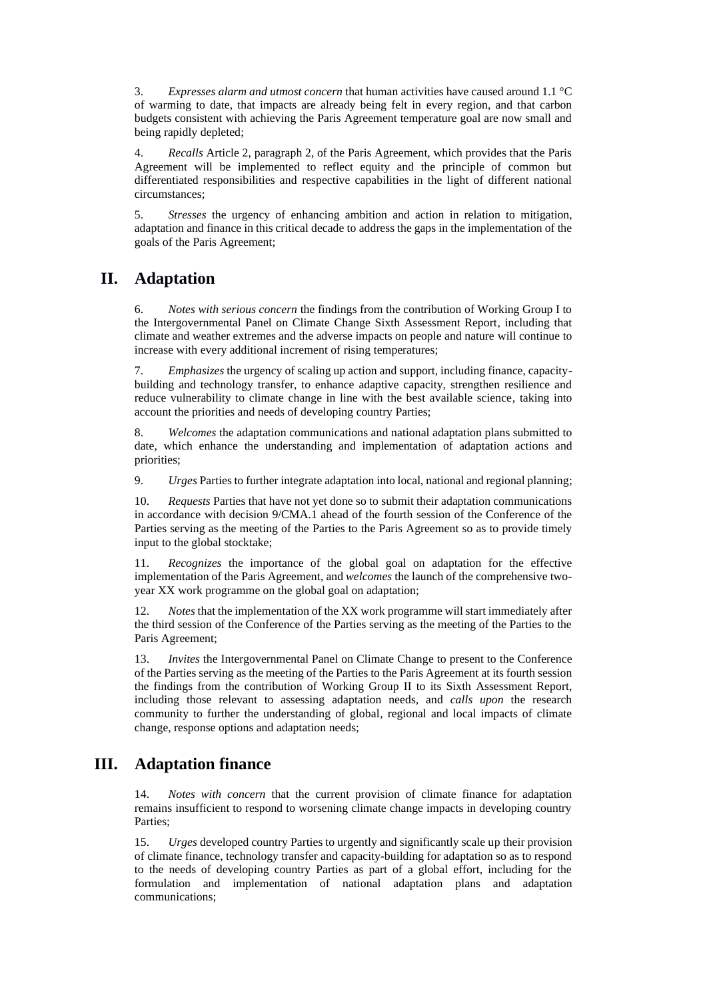3. *Expresses alarm and utmost concern* that human activities have caused around 1.1 °C of warming to date, that impacts are already being felt in every region, and that carbon budgets consistent with achieving the Paris Agreement temperature goal are now small and being rapidly depleted;

4. *Recalls* Article 2, paragraph 2, of the Paris Agreement, which provides that the Paris Agreement will be implemented to reflect equity and the principle of common but differentiated responsibilities and respective capabilities in the light of different national circumstances;

5. *Stresses* the urgency of enhancing ambition and action in relation to mitigation, adaptation and finance in this critical decade to address the gaps in the implementation of the goals of the Paris Agreement;

## **II. Adaptation**

6. *Notes with serious concern* the findings from the contribution of Working Group I to the Intergovernmental Panel on Climate Change Sixth Assessment Report, including that climate and weather extremes and the adverse impacts on people and nature will continue to increase with every additional increment of rising temperatures;

7. *Emphasizes* the urgency of scaling up action and support, including finance, capacitybuilding and technology transfer, to enhance adaptive capacity, strengthen resilience and reduce vulnerability to climate change in line with the best available science, taking into account the priorities and needs of developing country Parties;

8. *Welcomes* the adaptation communications and national adaptation plans submitted to date, which enhance the understanding and implementation of adaptation actions and priorities;

9. *Urges* Parties to further integrate adaptation into local, national and regional planning;

10. *Requests* Parties that have not yet done so to submit their adaptation communications in accordance with decision 9/CMA.1 ahead of the fourth session of the Conference of the Parties serving as the meeting of the Parties to the Paris Agreement so as to provide timely input to the global stocktake;

11. *Recognizes* the importance of the global goal on adaptation for the effective implementation of the Paris Agreement, and *welcomes* the launch of the comprehensive twoyear XX work programme on the global goal on adaptation;

12. *Notes* that the implementation of the XX work programme will start immediately after the third session of the Conference of the Parties serving as the meeting of the Parties to the Paris Agreement;

13. *Invites* the Intergovernmental Panel on Climate Change to present to the Conference of the Parties serving as the meeting of the Parties to the Paris Agreement at its fourth session the findings from the contribution of Working Group II to its Sixth Assessment Report, including those relevant to assessing adaptation needs, and *calls upon* the research community to further the understanding of global, regional and local impacts of climate change, response options and adaptation needs;

# **III. Adaptation finance**

14. *Notes with concern* that the current provision of climate finance for adaptation remains insufficient to respond to worsening climate change impacts in developing country Parties;

15. *Urges* developed country Parties to urgently and significantly scale up their provision of climate finance, technology transfer and capacity-building for adaptation so as to respond to the needs of developing country Parties as part of a global effort, including for the formulation and implementation of national adaptation plans and adaptation communications;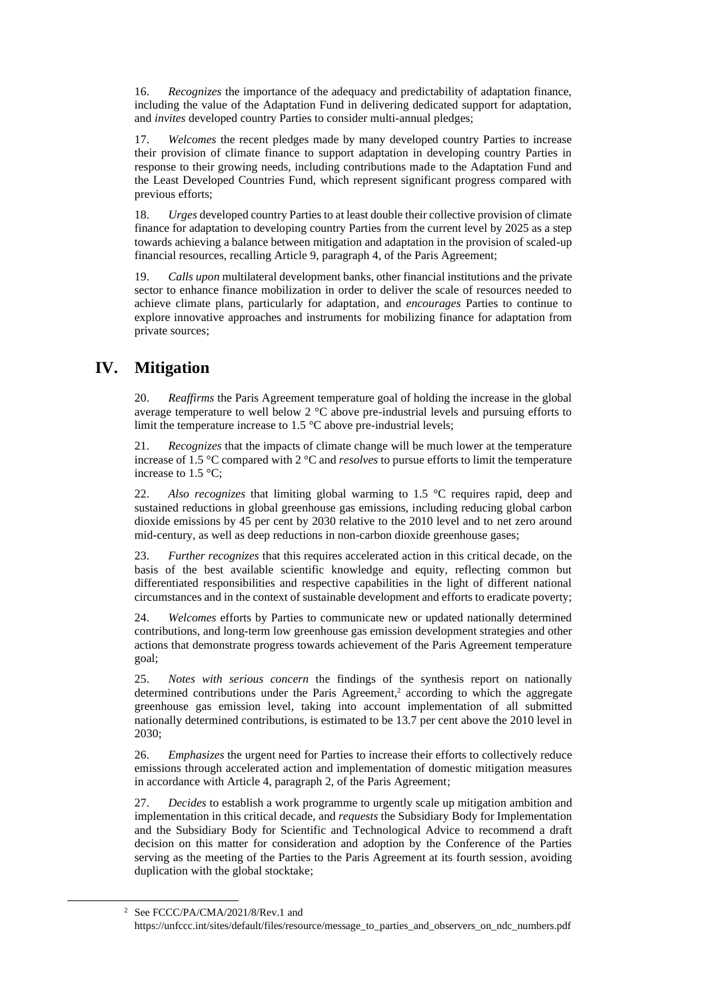16. *Recognizes* the importance of the adequacy and predictability of adaptation finance, including the value of the Adaptation Fund in delivering dedicated support for adaptation, and *invites* developed country Parties to consider multi-annual pledges;

17. *Welcomes* the recent pledges made by many developed country Parties to increase their provision of climate finance to support adaptation in developing country Parties in response to their growing needs, including contributions made to the Adaptation Fund and the Least Developed Countries Fund, which represent significant progress compared with previous efforts;

18. *Urges* developed country Parties to at least double their collective provision of climate finance for adaptation to developing country Parties from the current level by 2025 as a step towards achieving a balance between mitigation and adaptation in the provision of scaled-up financial resources, recalling Article 9, paragraph 4, of the Paris Agreement;

19. *Calls upon* multilateral development banks, other financial institutions and the private sector to enhance finance mobilization in order to deliver the scale of resources needed to achieve climate plans, particularly for adaptation, and *encourages* Parties to continue to explore innovative approaches and instruments for mobilizing finance for adaptation from private sources;

# **IV. Mitigation**

20. *Reaffirms* the Paris Agreement temperature goal of holding the increase in the global average temperature to well below 2 °C above pre-industrial levels and pursuing efforts to limit the temperature increase to 1.5 °C above pre-industrial levels;

21. *Recognizes* that the impacts of climate change will be much lower at the temperature increase of 1.5 °C compared with 2 °C and *resolves* to pursue efforts to limit the temperature increase to 1.5 °C;

22. *Also recognizes* that limiting global warming to 1.5 °C requires rapid, deep and sustained reductions in global greenhouse gas emissions, including reducing global carbon dioxide emissions by 45 per cent by 2030 relative to the 2010 level and to net zero around mid-century, as well as deep reductions in non-carbon dioxide greenhouse gases;

23. *Further recognizes* that this requires accelerated action in this critical decade, on the basis of the best available scientific knowledge and equity, reflecting common but differentiated responsibilities and respective capabilities in the light of different national circumstances and in the context of sustainable development and efforts to eradicate poverty;

24. *Welcomes* efforts by Parties to communicate new or updated nationally determined contributions, and long-term low greenhouse gas emission development strategies and other actions that demonstrate progress towards achievement of the Paris Agreement temperature goal;

25. *Notes with serious concern* the findings of the synthesis report on nationally determined contributions under the Paris Agreement,<sup>2</sup> according to which the aggregate greenhouse gas emission level, taking into account implementation of all submitted nationally determined contributions, is estimated to be 13.7 per cent above the 2010 level in 2030;

26. *Emphasizes* the urgent need for Parties to increase their efforts to collectively reduce emissions through accelerated action and implementation of domestic mitigation measures in accordance with Article 4, paragraph 2, of the Paris Agreement;

27. *Decides* to establish a work programme to urgently scale up mitigation ambition and implementation in this critical decade, and *requests* the Subsidiary Body for Implementation and the Subsidiary Body for Scientific and Technological Advice to recommend a draft decision on this matter for consideration and adoption by the Conference of the Parties serving as the meeting of the Parties to the Paris Agreement at its fourth session, avoiding duplication with the global stocktake;

<sup>2</sup> See FCCC/PA/CMA/2021/8/Rev.1 and https://unfccc.int/sites/default/files/resource/message\_to\_parties\_and\_observers\_on\_ndc\_numbers.pdf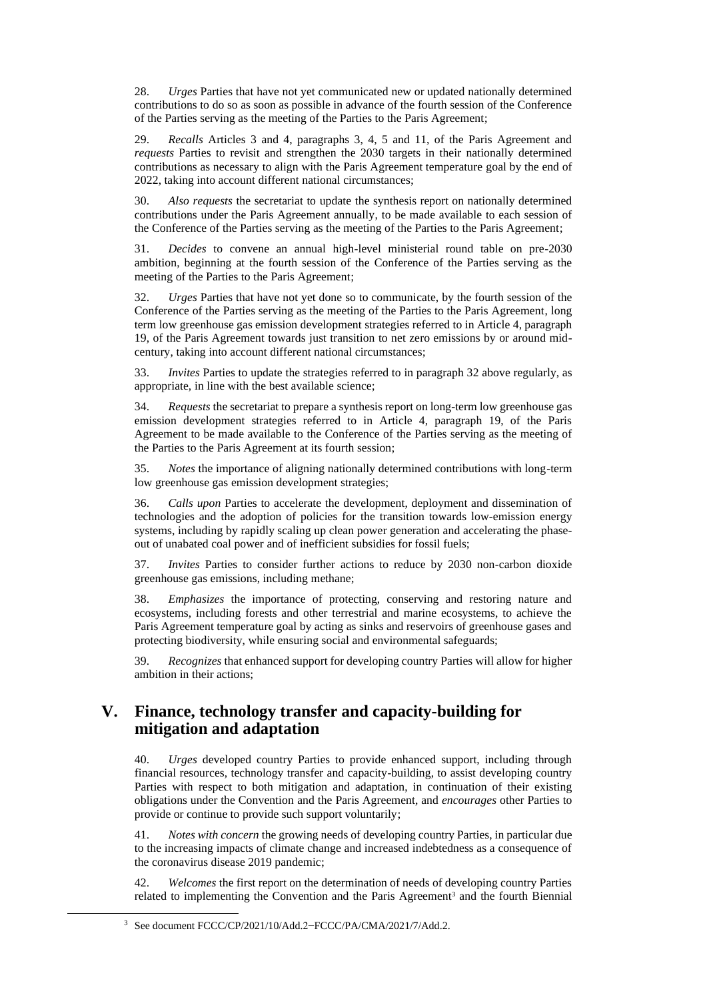28. *Urges* Parties that have not yet communicated new or updated nationally determined contributions to do so as soon as possible in advance of the fourth session of the Conference of the Parties serving as the meeting of the Parties to the Paris Agreement;

29. *Recalls* Articles 3 and 4, paragraphs 3, 4, 5 and 11, of the Paris Agreement and *requests* Parties to revisit and strengthen the 2030 targets in their nationally determined contributions as necessary to align with the Paris Agreement temperature goal by the end of 2022, taking into account different national circumstances;

30. *Also requests* the secretariat to update the synthesis report on nationally determined contributions under the Paris Agreement annually, to be made available to each session of the Conference of the Parties serving as the meeting of the Parties to the Paris Agreement;

31. *Decides* to convene an annual high-level ministerial round table on pre-2030 ambition, beginning at the fourth session of the Conference of the Parties serving as the meeting of the Parties to the Paris Agreement;

32. *Urges* Parties that have not yet done so to communicate, by the fourth session of the Conference of the Parties serving as the meeting of the Parties to the Paris Agreement, long term low greenhouse gas emission development strategies referred to in Article 4, paragraph 19, of the Paris Agreement towards just transition to net zero emissions by or around midcentury, taking into account different national circumstances;

33. *Invites* Parties to update the strategies referred to in paragraph 32 above regularly, as appropriate, in line with the best available science;

34. *Requests* the secretariat to prepare a synthesis report on long-term low greenhouse gas emission development strategies referred to in Article 4, paragraph 19, of the Paris Agreement to be made available to the Conference of the Parties serving as the meeting of the Parties to the Paris Agreement at its fourth session;

35. *Notes* the importance of aligning nationally determined contributions with long-term low greenhouse gas emission development strategies;

36. *Calls upon* Parties to accelerate the development, deployment and dissemination of technologies and the adoption of policies for the transition towards low-emission energy systems, including by rapidly scaling up clean power generation and accelerating the phaseout of unabated coal power and of inefficient subsidies for fossil fuels;

37. *Invites* Parties to consider further actions to reduce by 2030 non-carbon dioxide greenhouse gas emissions, including methane;

38. *Emphasizes* the importance of protecting, conserving and restoring nature and ecosystems, including forests and other terrestrial and marine ecosystems, to achieve the Paris Agreement temperature goal by acting as sinks and reservoirs of greenhouse gases and protecting biodiversity, while ensuring social and environmental safeguards;

39. *Recognizes* that enhanced support for developing country Parties will allow for higher ambition in their actions;

# **V. Finance, technology transfer and capacity-building for mitigation and adaptation**

40. *Urges* developed country Parties to provide enhanced support, including through financial resources, technology transfer and capacity-building, to assist developing country Parties with respect to both mitigation and adaptation, in continuation of their existing obligations under the Convention and the Paris Agreement, and *encourages* other Parties to provide or continue to provide such support voluntarily;

41. *Notes with concern* the growing needs of developing country Parties, in particular due to the increasing impacts of climate change and increased indebtedness as a consequence of the coronavirus disease 2019 pandemic;

42. *Welcomes* the first report on the determination of needs of developing country Parties related to implementing the Convention and the Paris Agreement<sup>3</sup> and the fourth Biennial

<sup>3</sup> See document FCCC/CP/2021/10/Add.2−FCCC/PA/CMA/2021/7/Add.2.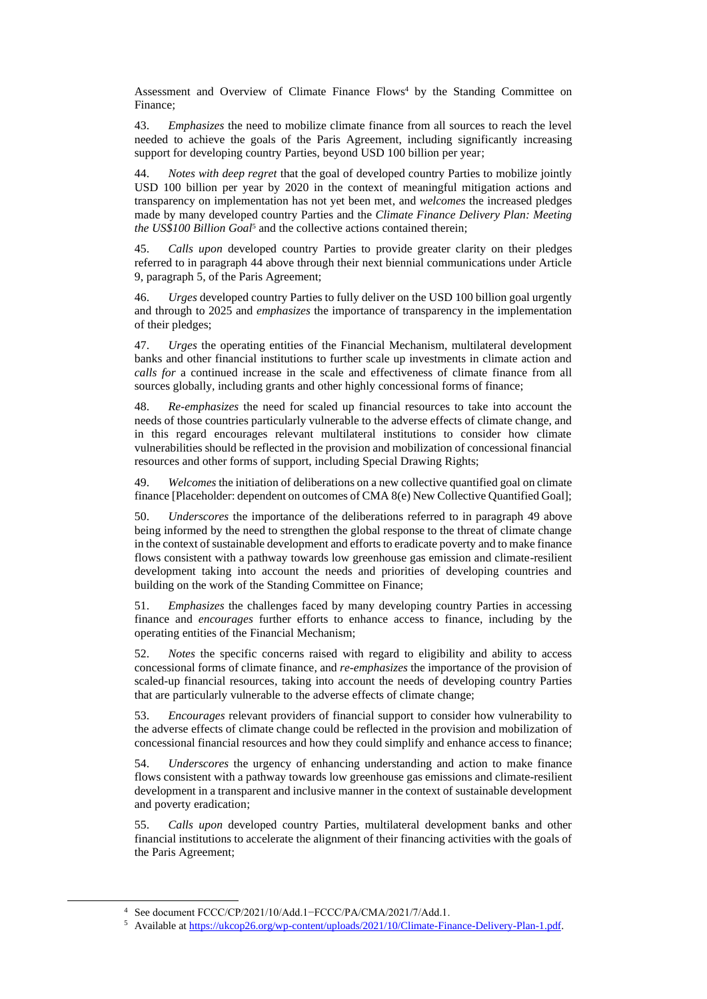Assessment and Overview of Climate Finance Flows<sup>4</sup> by the Standing Committee on Finance;

43. *Emphasizes* the need to mobilize climate finance from all sources to reach the level needed to achieve the goals of the Paris Agreement, including significantly increasing support for developing country Parties, beyond USD 100 billion per year;

44. *Notes with deep regret* that the goal of developed country Parties to mobilize jointly USD 100 billion per year by 2020 in the context of meaningful mitigation actions and transparency on implementation has not yet been met, and *welcomes* the increased pledges made by many developed country Parties and the *Climate Finance Delivery Plan: Meeting the US\$100 Billion Goal*<sup>5</sup> and the collective actions contained therein;

45. *Calls upon* developed country Parties to provide greater clarity on their pledges referred to in paragraph 44 above through their next biennial communications under Article 9, paragraph 5, of the Paris Agreement;

46. *Urges* developed country Parties to fully deliver on the USD 100 billion goal urgently and through to 2025 and *emphasizes* the importance of transparency in the implementation of their pledges;

47. *Urges* the operating entities of the Financial Mechanism, multilateral development banks and other financial institutions to further scale up investments in climate action and *calls for* a continued increase in the scale and effectiveness of climate finance from all sources globally, including grants and other highly concessional forms of finance;

48. *Re-emphasizes* the need for scaled up financial resources to take into account the needs of those countries particularly vulnerable to the adverse effects of climate change, and in this regard encourages relevant multilateral institutions to consider how climate vulnerabilities should be reflected in the provision and mobilization of concessional financial resources and other forms of support, including Special Drawing Rights;

49. *Welcomes* the initiation of deliberations on a new collective quantified goal on climate finance [Placeholder: dependent on outcomes of CMA 8(e) New Collective Quantified Goal];

50. *Underscores* the importance of the deliberations referred to in paragraph 49 above being informed by the need to strengthen the global response to the threat of climate change in the context of sustainable development and efforts to eradicate poverty and to make finance flows consistent with a pathway towards low greenhouse gas emission and climate-resilient development taking into account the needs and priorities of developing countries and building on the work of the Standing Committee on Finance;

51. *Emphasizes* the challenges faced by many developing country Parties in accessing finance and *encourages* further efforts to enhance access to finance, including by the operating entities of the Financial Mechanism;

52. *Notes* the specific concerns raised with regard to eligibility and ability to access concessional forms of climate finance, and *re-emphasizes* the importance of the provision of scaled-up financial resources, taking into account the needs of developing country Parties that are particularly vulnerable to the adverse effects of climate change;

53. *Encourages* relevant providers of financial support to consider how vulnerability to the adverse effects of climate change could be reflected in the provision and mobilization of concessional financial resources and how they could simplify and enhance access to finance;

54. *Underscores* the urgency of enhancing understanding and action to make finance flows consistent with a pathway towards low greenhouse gas emissions and climate-resilient development in a transparent and inclusive manner in the context of sustainable development and poverty eradication;

55. *Calls upon* developed country Parties, multilateral development banks and other financial institutions to accelerate the alignment of their financing activities with the goals of the Paris Agreement;

<sup>4</sup> See document FCCC/CP/2021/10/Add.1−FCCC/PA/CMA/2021/7/Add.1.

<sup>5</sup> Available a[t https://ukcop26.org/wp-content/uploads/2021/10/Climate-Finance-Delivery-Plan-1.pdf.](https://ukcop26.org/wp-content/uploads/2021/10/Climate-Finance-Delivery-Plan-1.pdf)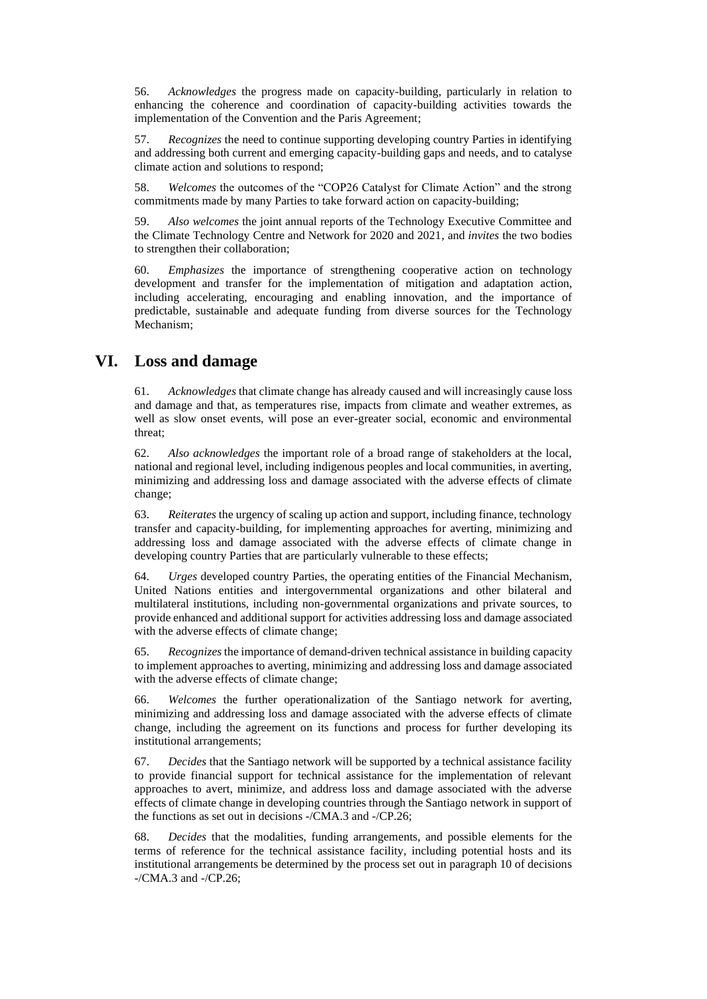56. *Acknowledges* the progress made on capacity-building, particularly in relation to enhancing the coherence and coordination of capacity-building activities towards the implementation of the Convention and the Paris Agreement;

57. *Recognizes* the need to continue supporting developing country Parties in identifying and addressing both current and emerging capacity-building gaps and needs, and to catalyse climate action and solutions to respond;

58. *Welcomes* the outcomes of the "COP26 Catalyst for Climate Action" and the strong commitments made by many Parties to take forward action on capacity-building;

59. *Also welcomes* the joint annual reports of the Technology Executive Committee and the Climate Technology Centre and Network for 2020 and 2021, and *invites* the two bodies to strengthen their collaboration;

60. *Emphasizes* the importance of strengthening cooperative action on technology development and transfer for the implementation of mitigation and adaptation action, including accelerating, encouraging and enabling innovation, and the importance of predictable, sustainable and adequate funding from diverse sources for the Technology Mechanism;

## **VI. Loss and damage**

61. *Acknowledges* that climate change has already caused and will increasingly cause loss and damage and that, as temperatures rise, impacts from climate and weather extremes, as well as slow onset events, will pose an ever-greater social, economic and environmental threat;

62. *Also acknowledges* the important role of a broad range of stakeholders at the local, national and regional level, including indigenous peoples and local communities, in averting, minimizing and addressing loss and damage associated with the adverse effects of climate change;

63. *Reiterates* the urgency of scaling up action and support, including finance, technology transfer and capacity-building, for implementing approaches for averting, minimizing and addressing loss and damage associated with the adverse effects of climate change in developing country Parties that are particularly vulnerable to these effects;

64. *Urges* developed country Parties, the operating entities of the Financial Mechanism, United Nations entities and intergovernmental organizations and other bilateral and multilateral institutions, including non-governmental organizations and private sources, to provide enhanced and additional support for activities addressing loss and damage associated with the adverse effects of climate change;

65. *Recognizes* the importance of demand-driven technical assistance in building capacity to implement approaches to averting, minimizing and addressing loss and damage associated with the adverse effects of climate change;

66. *Welcomes* the further operationalization of the Santiago network for averting, minimizing and addressing loss and damage associated with the adverse effects of climate change, including the agreement on its functions and process for further developing its institutional arrangements;

67. *Decides* that the Santiago network will be supported by a technical assistance facility to provide financial support for technical assistance for the implementation of relevant approaches to avert, minimize, and address loss and damage associated with the adverse effects of climate change in developing countries through the Santiago network in support of the functions as set out in decisions -/CMA.3 and -/CP.26;

68. *Decides* that the modalities, funding arrangements, and possible elements for the terms of reference for the technical assistance facility, including potential hosts and its institutional arrangements be determined by the process set out in paragraph 10 of decisions -/CMA.3 and -/CP.26;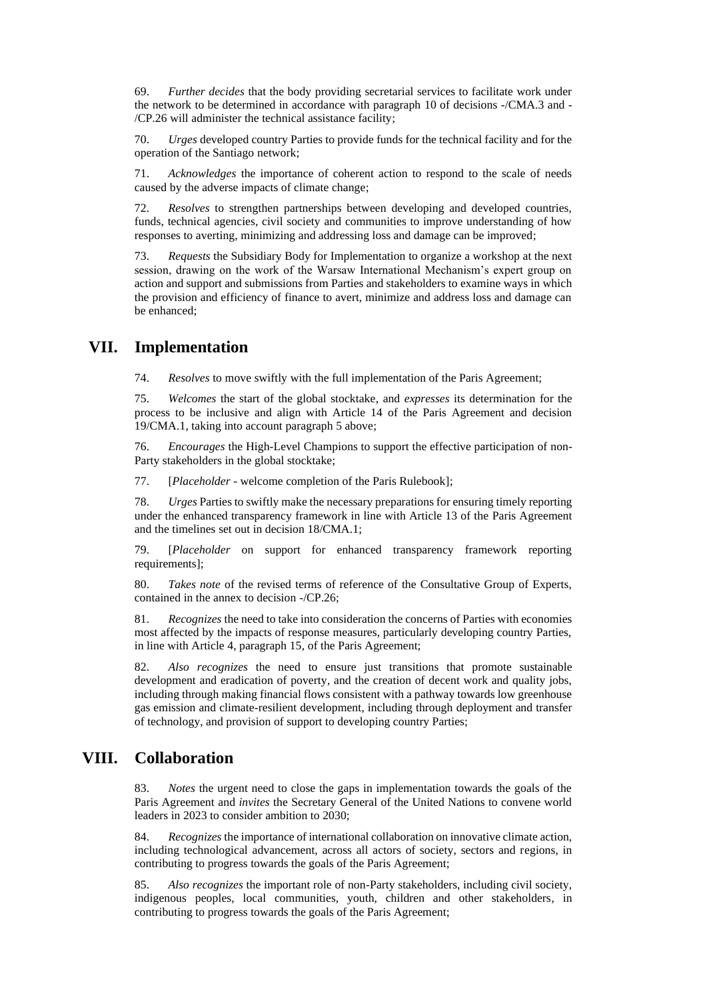69. *Further decides* that the body providing secretarial services to facilitate work under the network to be determined in accordance with paragraph 10 of decisions -/CMA.3 and - /CP.26 will administer the technical assistance facility;

70. *Urges* developed country Parties to provide funds for the technical facility and for the operation of the Santiago network;

71. *Acknowledges* the importance of coherent action to respond to the scale of needs caused by the adverse impacts of climate change;

72. *Resolves* to strengthen partnerships between developing and developed countries, funds, technical agencies, civil society and communities to improve understanding of how responses to averting, minimizing and addressing loss and damage can be improved;

73. *Requests* the Subsidiary Body for Implementation to organize a workshop at the next session, drawing on the work of the Warsaw International Mechanism's expert group on action and support and submissions from Parties and stakeholders to examine ways in which the provision and efficiency of finance to avert, minimize and address loss and damage can be enhanced;

### **VII. Implementation**

74. *Resolves* to move swiftly with the full implementation of the Paris Agreement;

75. *Welcomes* the start of the global stocktake, and *expresses* its determination for the process to be inclusive and align with Article 14 of the Paris Agreement and decision 19/CMA.1, taking into account paragraph 5 above;

76. *Encourages* the High-Level Champions to support the effective participation of non-Party stakeholders in the global stocktake;

77. [*Placeholder* - welcome completion of the Paris Rulebook];

78. *Urges* Parties to swiftly make the necessary preparations for ensuring timely reporting under the enhanced transparency framework in line with Article 13 of the Paris Agreement and the timelines set out in decision 18/CMA.1;

79. [*Placeholder* on support for enhanced transparency framework reporting requirements];

80. *Takes note* of the revised terms of reference of the Consultative Group of Experts, contained in the annex to decision -/CP.26;

81. *Recognizes* the need to take into consideration the concerns of Parties with economies most affected by the impacts of response measures, particularly developing country Parties, in line with Article 4, paragraph 15, of the Paris Agreement;

82. *Also recognizes* the need to ensure just transitions that promote sustainable development and eradication of poverty, and the creation of decent work and quality jobs, including through making financial flows consistent with a pathway towards low greenhouse gas emission and climate-resilient development, including through deployment and transfer of technology, and provision of support to developing country Parties;

### **VIII. Collaboration**

83. *Notes* the urgent need to close the gaps in implementation towards the goals of the Paris Agreement and *invites* the Secretary General of the United Nations to convene world leaders in 2023 to consider ambition to 2030;

84. *Recognizes* the importance of international collaboration on innovative climate action, including technological advancement, across all actors of society, sectors and regions, in contributing to progress towards the goals of the Paris Agreement;

85. *Also recognizes* the important role of non-Party stakeholders, including civil society, indigenous peoples, local communities, youth, children and other stakeholders, in contributing to progress towards the goals of the Paris Agreement;